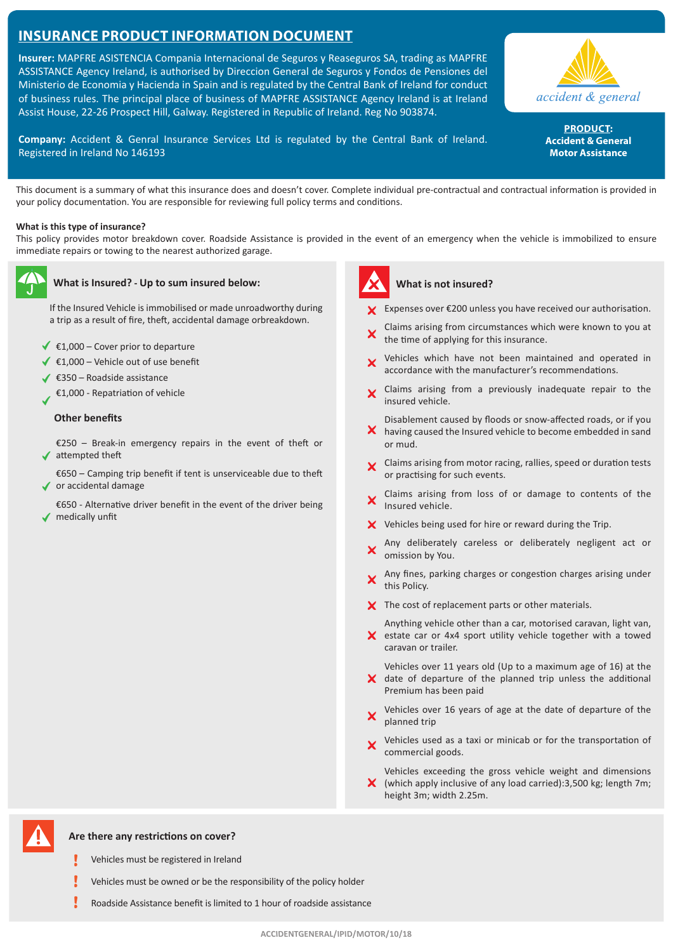# **Insurance Product Information Document**

**Insurer:** MAPFRE ASISTENCIA Compania Internacional de Seguros y Reaseguros SA, trading as MAPFRE ASSISTANCE Agency Ireland, is authorised by Direccion General de Seguros y Fondos de Pensiones del Ministerio de Economia y Hacienda in Spain and is regulated by the Central Bank of Ireland for conduct of business rules. The principal place of business of MAPFRE ASSISTANCE Agency Ireland is at Ireland Assist House, 22-26 Prospect Hill, Galway. Registered in Republic of Ireland. Reg No 903874.

**Company:** Accident & Genral Insurance Services Ltd is regulated by the Central Bank of Ireland. Registered in Ireland No 146193

This document is a summary of what this insurance does and doesn't cover. Complete individual pre-contractual and contractual information is provided in your policy documentation. You are responsible for reviewing full policy terms and conditions.

#### **What is this type of insurance?**

This policy provides motor breakdown cover. Roadside Assistance is provided in the event of an emergency when the vehicle is immobilized to ensure immediate repairs or towing to the nearest authorized garage.



#### **What is Insured? - Up to sum insured below:**

If the Insured Vehicle is immobilised or made unroadworthy during a trip as a result of fire, theft, accidental damage orbreakdown.

- €1,000 Cover prior to departure
- €1,000 Vehicle out of use benefit
- €350 Roadside assistance
- €1,000 Repatriation of vehicle

## **Other benefits**

€250 – Break-in emergency repairs in the event of theft or ◆ attempted theft

- €650 Camping trip benefit if tent is unserviceable due to theft ◆ or accidental damage
- €650 Alternative driver benefit in the event of the driver being ◆ medically unfit



#### **What is not insured?**

Expenses over €200 unless you have received our authorisation.

- Claims arising from circumstances which were known to you at the time of applying for this insurance.
- Vehicles which have not been maintained and operated in accordance with the manufacturer's recommendations.
- Claims arising from a previously inadequate repair to the  $\overline{\mathbf{x}}$ insured vehicle.
- Disablement caused by floods or snow-affected roads, or if you  $\boldsymbol{\times}$  having caused the Insured vehicle to become embedded in sand or mud.
- **X** Claims arising from motor racing, rallies, speed or duration tests or practising for such events.
- Claims arising from loss of or damage to contents of the Insured vehicle.
- $\boldsymbol{\times}$  Vehicles being used for hire or reward during the Trip.
- Any deliberately careless or deliberately negligent act or omission by You.
- Any fines, parking charges or congestion charges arising under  $\mathsf{X}^{\perp}$ this Policy.
- X The cost of replacement parts or other materials.

Anything vehicle other than a car, motorised caravan, light van, X estate car or 4x4 sport utility vehicle together with a towed caravan or trailer.

Vehicles over 11 years old (Up to a maximum age of 16) at the  $\boldsymbol{\times}$  date of departure of the planned trip unless the additional Premium has been paid

- Vehicles over 16 years of age at the date of departure of the planned trip
- Vehicles used as a taxi or minicab or for the transportation of commercial goods.

Vehicles exceeding the gross vehicle weight and dimensions  $\boldsymbol{X}$  (which apply inclusive of any load carried):3,500 kg; length 7m; height 3m; width 2.25m.

**Are there any restrictions on cover?**

- ī Vehicles must be registered in Ireland
- Vehicles must be owned or be the responsibility of the policy holder
- Roadside Assistance benefit is limited to 1 hour of roadside assistance



PRODUCT: **Accident & General Motor Assistance**